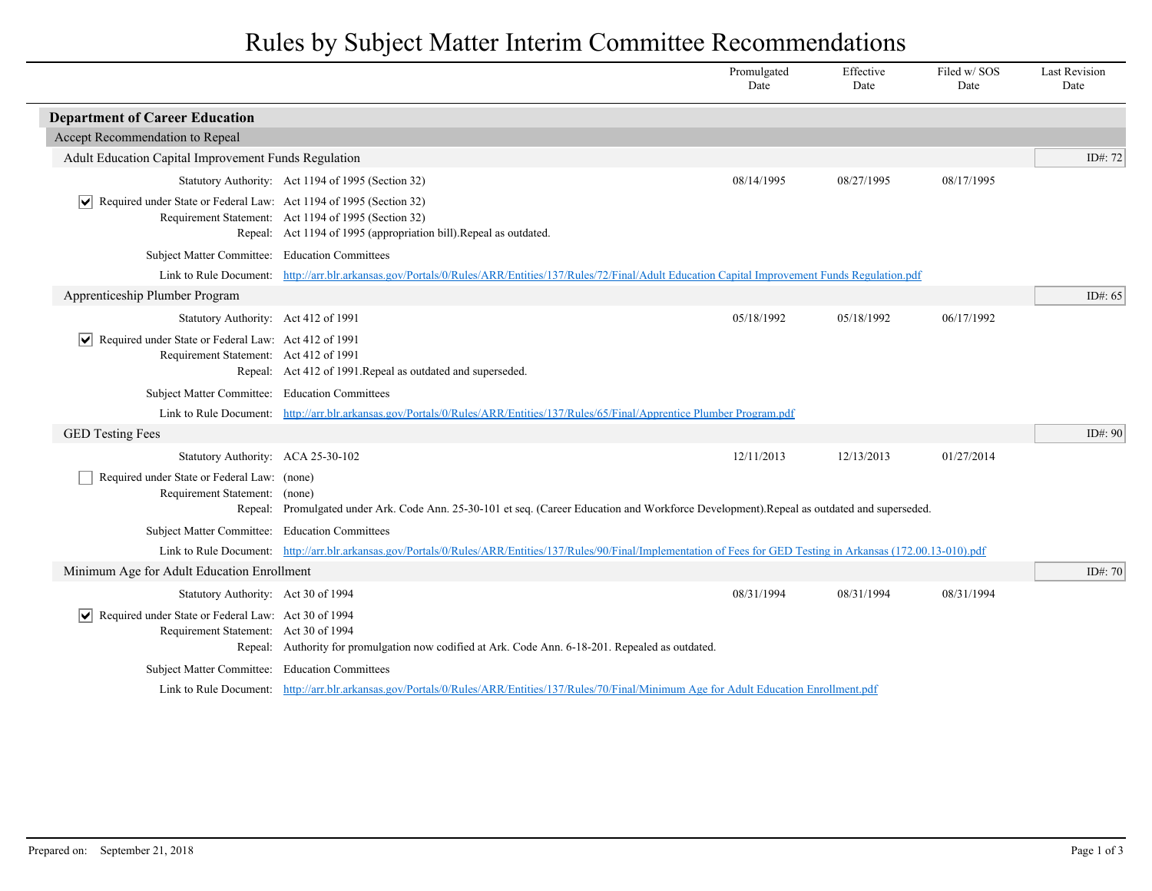## Rules by Subject Matter Interim Committee Recommendations

|                                                                                                                                                   |                                                                                                                                                                           | Promulgated<br>Date | Effective<br>Date | Filed w/SOS<br>Date | <b>Last Revision</b><br>Date |
|---------------------------------------------------------------------------------------------------------------------------------------------------|---------------------------------------------------------------------------------------------------------------------------------------------------------------------------|---------------------|-------------------|---------------------|------------------------------|
| <b>Department of Career Education</b>                                                                                                             |                                                                                                                                                                           |                     |                   |                     |                              |
| Accept Recommendation to Repeal                                                                                                                   |                                                                                                                                                                           |                     |                   |                     |                              |
| Adult Education Capital Improvement Funds Regulation                                                                                              |                                                                                                                                                                           |                     |                   |                     | ID#: 72                      |
|                                                                                                                                                   | Statutory Authority: Act 1194 of 1995 (Section 32)                                                                                                                        | 08/14/1995          | 08/27/1995        | 08/17/1995          |                              |
| Required under State or Federal Law: Act 1194 of 1995 (Section 32)<br>∣V∣                                                                         | Requirement Statement: Act 1194 of 1995 (Section 32)<br>Repeal: Act 1194 of 1995 (appropriation bill). Repeal as outdated.                                                |                     |                   |                     |                              |
| Subject Matter Committee: Education Committees                                                                                                    |                                                                                                                                                                           |                     |                   |                     |                              |
|                                                                                                                                                   | Link to Rule Document: http://arr.blr.arkansas.gov/Portals/0/Rules/ARR/Entities/137/Rules/72/Final/Adult Education Capital Improvement Funds Regulation.pdf               |                     |                   |                     |                              |
| Apprenticeship Plumber Program                                                                                                                    |                                                                                                                                                                           |                     |                   |                     | ID#: $65$                    |
| Statutory Authority: Act 412 of 1991                                                                                                              |                                                                                                                                                                           | 05/18/1992          | 05/18/1992        | 06/17/1992          |                              |
| $\sqrt{\phantom{a}}$ Required under State or Federal Law: Act 412 of 1991<br>Requirement Statement: Act 412 of 1991                               | Repeal: Act 412 of 1991. Repeal as outdated and superseded.                                                                                                               |                     |                   |                     |                              |
| Subject Matter Committee: Education Committees                                                                                                    |                                                                                                                                                                           |                     |                   |                     |                              |
|                                                                                                                                                   | Link to Rule Document: http://arr.blr.arkansas.gov/Portals/0/Rules/ARR/Entities/137/Rules/65/Final/Apprentice Plumber Program.pdf                                         |                     |                   |                     |                              |
| <b>GED Testing Fees</b>                                                                                                                           |                                                                                                                                                                           |                     |                   |                     | ID#: $90$                    |
| Statutory Authority: ACA 25-30-102                                                                                                                |                                                                                                                                                                           | 12/11/2013          | 12/13/2013        | 01/27/2014          |                              |
| Required under State or Federal Law: (none)<br>Requirement Statement: (none)                                                                      | Repeal: Promulgated under Ark. Code Ann. 25-30-101 et seq. (Career Education and Workforce Development).Repeal as outdated and superseded.                                |                     |                   |                     |                              |
| Subject Matter Committee: Education Committees                                                                                                    |                                                                                                                                                                           |                     |                   |                     |                              |
|                                                                                                                                                   | Link to Rule Document: http://arr.blr.arkansas.gov/Portals/0/Rules/ARR/Entities/137/Rules/90/Final/Implementation of Fees for GED Testing in Arkansas (172.00.13-010).pdf |                     |                   |                     |                              |
| Minimum Age for Adult Education Enrollment                                                                                                        |                                                                                                                                                                           |                     |                   |                     | ID#: $70$                    |
| Statutory Authority: Act 30 of 1994                                                                                                               |                                                                                                                                                                           | 08/31/1994          | 08/31/1994        | 08/31/1994          |                              |
| $ \mathbf{v} $ Required under State or Federal Law: Act 30 of 1994<br>Requirement Statement: Act 30 of 1994                                       | Repeal: Authority for promulgation now codified at Ark. Code Ann. 6-18-201. Repealed as outdated.                                                                         |                     |                   |                     |                              |
| Subject Matter Committee: Education Committees                                                                                                    |                                                                                                                                                                           |                     |                   |                     |                              |
| Link to Rule Document: http://arr.blr.arkansas.gov/Portals/0/Rules/ARR/Entities/137/Rules/70/Final/Minimum Age for Adult Education Enrollment.pdf |                                                                                                                                                                           |                     |                   |                     |                              |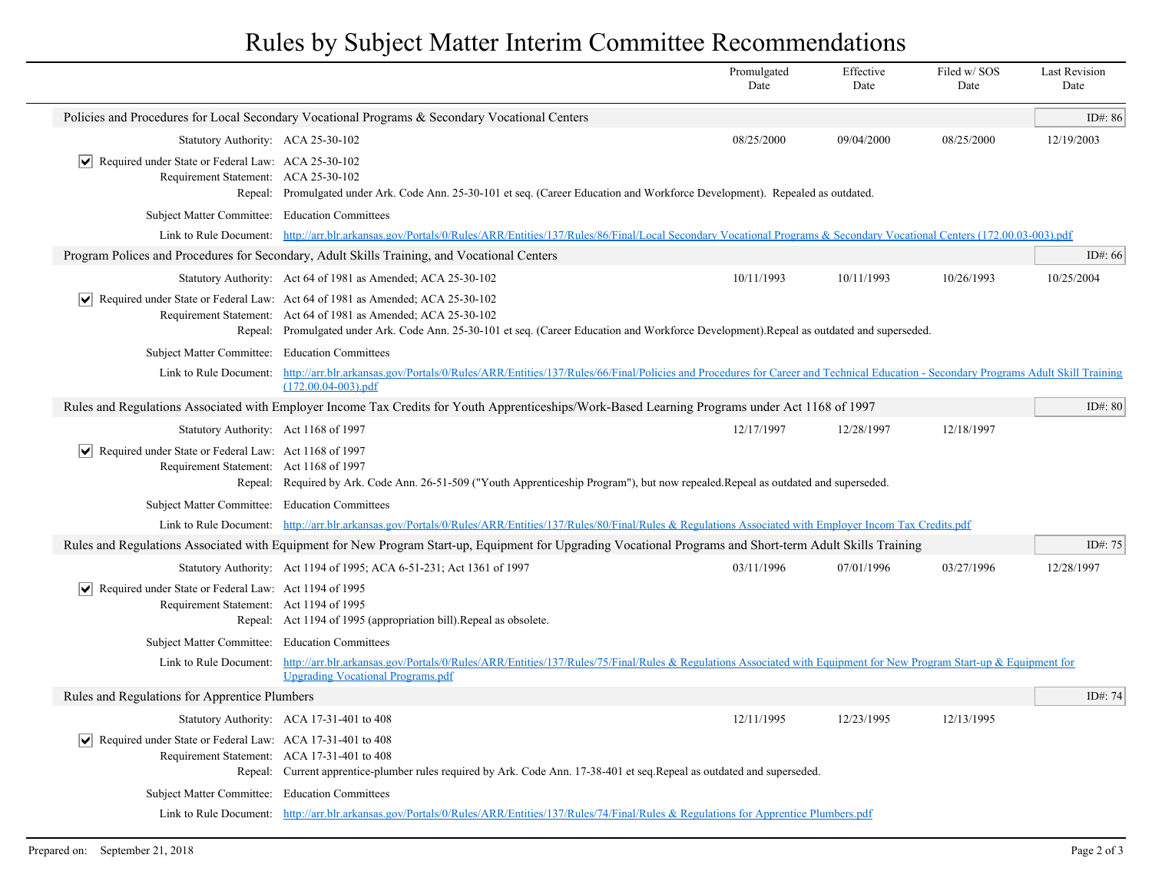## Rules by Subject Matter Interim Committee Recommendations

|                                                                                                                                                            |                                                                                                                                                                                                                                                                                                               | Promulgated<br>Date | Effective<br>Date | Filed w/SOS<br>Date | <b>Last Revision</b><br>Date |
|------------------------------------------------------------------------------------------------------------------------------------------------------------|---------------------------------------------------------------------------------------------------------------------------------------------------------------------------------------------------------------------------------------------------------------------------------------------------------------|---------------------|-------------------|---------------------|------------------------------|
|                                                                                                                                                            | Policies and Procedures for Local Secondary Vocational Programs & Secondary Vocational Centers                                                                                                                                                                                                                |                     |                   |                     | ID#: 86                      |
| Statutory Authority: ACA 25-30-102                                                                                                                         |                                                                                                                                                                                                                                                                                                               | 08/25/2000          | 09/04/2000        | 08/25/2000          | 12/19/2003                   |
| $ \mathbf{v} $ Required under State or Federal Law: ACA 25-30-102<br>Requirement Statement: ACA 25-30-102                                                  | Repeal: Promulgated under Ark. Code Ann. 25-30-101 et seq. (Career Education and Workforce Development). Repealed as outdated.                                                                                                                                                                                |                     |                   |                     |                              |
|                                                                                                                                                            | Subject Matter Committee: Education Committees                                                                                                                                                                                                                                                                |                     |                   |                     |                              |
|                                                                                                                                                            | Link to Rule Document: http://arr.blr.arkansas.gov/Portals/0/Rules/ARR/Entities/137/Rules/86/Final/Local Secondary Vocational Programs & Secondary Vocational Centers (172.00.03-003).pdf                                                                                                                     |                     |                   |                     |                              |
|                                                                                                                                                            | Program Polices and Procedures for Secondary, Adult Skills Training, and Vocational Centers                                                                                                                                                                                                                   |                     |                   |                     | ID#: 66                      |
|                                                                                                                                                            | Statutory Authority: Act 64 of 1981 as Amended; ACA 25-30-102                                                                                                                                                                                                                                                 | 10/11/1993          | 10/11/1993        | 10/26/1993          | 10/25/2004                   |
|                                                                                                                                                            | $ \mathbf{v} $ Required under State or Federal Law: Act 64 of 1981 as Amended; ACA 25-30-102<br>Requirement Statement: Act 64 of 1981 as Amended; ACA 25-30-102<br>Repeal: Promulgated under Ark. Code Ann. 25-30-101 et seq. (Career Education and Workforce Development).Repeal as outdated and superseded. |                     |                   |                     |                              |
| Subject Matter Committee: Education Committees                                                                                                             |                                                                                                                                                                                                                                                                                                               |                     |                   |                     |                              |
| Link to Rule Document:                                                                                                                                     | http://arr.blr.arkansas.gov/Portals/0/Rules/ARR/Entities/137/Rules/66/Final/Policies and Procedures for Career and Technical Education - Secondary Programs Adult Skill Training<br>$(172.00.04 - 003)$ .pdf                                                                                                  |                     |                   |                     |                              |
| Rules and Regulations Associated with Employer Income Tax Credits for Youth Apprenticeships/Work-Based Learning Programs under Act 1168 of 1997            |                                                                                                                                                                                                                                                                                                               |                     |                   |                     |                              |
| Statutory Authority: Act 1168 of 1997                                                                                                                      |                                                                                                                                                                                                                                                                                                               | 12/17/1997          | 12/28/1997        | 12/18/1997          |                              |
| $ \mathbf{v} $ Required under State or Federal Law: Act 1168 of 1997<br>Requirement Statement: Act 1168 of 1997                                            | Repeal: Required by Ark. Code Ann. 26-51-509 ("Youth Apprenticeship Program"), but now repealed. Repeal as outdated and superseded.                                                                                                                                                                           |                     |                   |                     |                              |
|                                                                                                                                                            | Subject Matter Committee: Education Committees<br>Link to Rule Document: http://arr.blr.arkansas.gov/Portals/0/Rules/ARR/Entities/137/Rules/80/Final/Rules & Regulations Associated with Employer Incom Tax Credits.pdf                                                                                       |                     |                   |                     |                              |
|                                                                                                                                                            |                                                                                                                                                                                                                                                                                                               |                     |                   |                     |                              |
| Rules and Regulations Associated with Equipment for New Program Start-up, Equipment for Upgrading Vocational Programs and Short-term Adult Skills Training |                                                                                                                                                                                                                                                                                                               |                     |                   |                     | ID#: 75                      |
|                                                                                                                                                            | Statutory Authority: Act 1194 of 1995; ACA 6-51-231; Act 1361 of 1997                                                                                                                                                                                                                                         | 03/11/1996          | 07/01/1996        | 03/27/1996          | 12/28/1997                   |
| $ \mathbf{v} $ Required under State or Federal Law: Act 1194 of 1995<br>Requirement Statement: Act 1194 of 1995                                            | Repeal: Act 1194 of 1995 (appropriation bill). Repeal as obsolete.                                                                                                                                                                                                                                            |                     |                   |                     |                              |
| Subject Matter Committee: Education Committees                                                                                                             |                                                                                                                                                                                                                                                                                                               |                     |                   |                     |                              |
|                                                                                                                                                            | Link to Rule Document: http://arr.blr.arkansas.gov/Portals/0/Rules/ARR/Entities/137/Rules/75/Final/Rules & Regulations Associated with Equipment for New Program Start-up & Equipment for<br><b>Upgrading Vocational Programs.pdf</b>                                                                         |                     |                   |                     |                              |
| Rules and Regulations for Apprentice Plumbers                                                                                                              |                                                                                                                                                                                                                                                                                                               |                     |                   |                     | ID#: 74                      |
|                                                                                                                                                            | Statutory Authority: ACA 17-31-401 to 408                                                                                                                                                                                                                                                                     | 12/11/1995          | 12/23/1995        | 12/13/1995          |                              |
| Required under State or Federal Law: ACA 17-31-401 to 408<br>Requirement Statement: ACA 17-31-401 to 408                                                   | Repeal: Current apprentice-plumber rules required by Ark. Code Ann. 17-38-401 et seq. Repeal as outdated and superseded.                                                                                                                                                                                      |                     |                   |                     |                              |
| Subject Matter Committee: Education Committees                                                                                                             |                                                                                                                                                                                                                                                                                                               |                     |                   |                     |                              |
|                                                                                                                                                            | Link to Rule Document: http://arr.blr.arkansas.gov/Portals/0/Rules/ARR/Entities/137/Rules/74/Final/Rules & Regulations for Apprentice Plumbers.pdf                                                                                                                                                            |                     |                   |                     |                              |